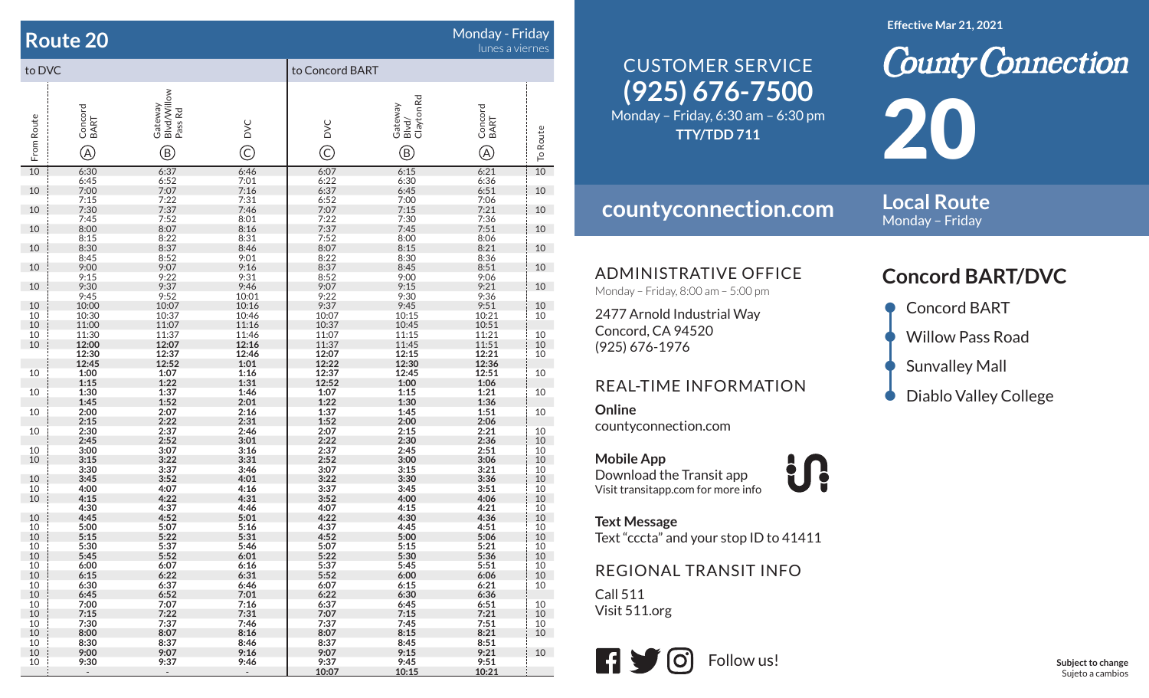#### **Route 20**

### Monday - Friday lunes a viernes

| to DVC                                  |                      |                            |                                      | to Concord BART        |                        |                  |                                                                             |
|-----------------------------------------|----------------------|----------------------------|--------------------------------------|------------------------|------------------------|------------------|-----------------------------------------------------------------------------|
|                                         |                      | Blvd/Willow<br>Pass Rd     |                                      |                        | Blvd/<br>Clayton Rd    |                  |                                                                             |
| From Route                              | Concord<br>BART      | Gateway                    | DVC                                  | DVC                    | Gateway                | Concord<br>BART  | <b>To Route</b>                                                             |
|                                         | $\circledR$          | $^\circledR$               | $\widehat{\odot}$                    | $\widehat{\mathbb{C}}$ | $^\circledR$           | $^\circledR$     |                                                                             |
| $\overline{10}$                         | $6:30$<br>$6:45$     | 6:37<br>6:52               | 6:46<br>7:01<br>7:16<br>7:31<br>7:46 | 6:07<br>6:22           | $6:15$<br>$6:30$       | 6:21<br>6:36     | 10                                                                          |
| 10                                      | 7:00<br>7:15<br>7:30 | 7:07<br>7:22<br>7:37       |                                      | 6:37                   | $6:45$<br>7:00<br>7:15 | 6:51             | 10                                                                          |
| 10                                      |                      |                            |                                      | 6:52<br>7:07           |                        | 7:06<br>7:21     | 10                                                                          |
| 10                                      | 7:45<br>8:00         | 7:52<br>8:07               | 8:01<br>8:16                         | 7:22<br>7:37           | 7:30<br>7:45           | 7:36<br>7:51     | 10                                                                          |
|                                         |                      |                            | 8:31                                 | 7:52                   | 8:00                   | $8:06$<br>$8:21$ |                                                                             |
| 10                                      | 8:15<br>8:30<br>8:45 | $8:22$<br>$8:37$<br>$8:52$ | 8:46<br>9:01                         | 8:07<br>8:22           | 8:15<br>8:30           | 8:36             | 10                                                                          |
| 10                                      |                      |                            |                                      |                        |                        | 8:51             | 10                                                                          |
|                                         | $9:00$<br>$9:15$     | $9:07$<br>$9:22$           | $9:16$<br>$9:31$                     | $8:37$<br>$8:52$       | 8:45<br>9:00<br>9:15   | 9:06             |                                                                             |
| 10                                      | 9:30<br>9:45         | 9:37<br>9:52               | 9:46<br>10:01                        | 9:07<br>9:22           | 9:30                   | 9:21<br>9:36     | 10                                                                          |
| 10                                      | 10:00                | 10:07                      | 10:16                                | 9:37                   | 9:45                   | 9:51             |                                                                             |
| 10                                      | 10:30                | 10:37                      | 10:46                                | 10:07                  | 10:15                  | 10:21            | $\begin{array}{c} 10 \\ 10 \end{array}$                                     |
| $\begin{array}{c} 10 \\ 10 \end{array}$ | 11:00<br>11:30       | $11:07$<br>$11:37$         | 11:16<br>11:46                       | 10:37<br>11:07         | $10:45$<br>$11:15$     | 10:51<br>11:21   |                                                                             |
| 10                                      | 12:00                | 12:07                      | 12:16                                | 11:37                  | 11:45                  | 11:51            |                                                                             |
|                                         | 12:30                | 12:37                      | 12:46                                | 12:07                  | 12:15                  | 12:21            | $\begin{array}{c} 10 \\ 10 \\ 10 \end{array}$                               |
|                                         | 12:45                | 12:52                      | 1:01                                 | 12:22                  | 12:30                  | 12:36            |                                                                             |
| 10                                      | $1:00$<br>$1:15$     | $\frac{1:07}{1:22}$        | 1:16<br>1:31                         | 12:37<br>12:52         | 12:45<br>1:00          | 12:51<br>1:06    | 10                                                                          |
| 10                                      | 1:30                 | 1:37                       | 1:46                                 | 1:07                   | 1:15                   | 1:21             | 10                                                                          |
|                                         | 1:45                 | 1:52                       | 2:01                                 | 1:22                   | 1:30                   | 1:36             |                                                                             |
| 10                                      | 2:00<br>2:15         | 2:07<br>2:22               | 2:16<br>2:31                         | 1:37<br>1:52           | 1:45                   | 1:51             | 10                                                                          |
| 10                                      | 2:30                 |                            | 2:46                                 | 2:07                   | $2:00$<br>$2:15$       | 2:06<br>2:21     |                                                                             |
|                                         | 2:45                 | $2:37$<br>$2:52$           | 3:01                                 | 2:22                   | 2:30                   | 2:36             |                                                                             |
| 10                                      | 3:00                 |                            | $3:16$<br>$3:31$                     | 2:37                   | 2:45                   | 2:51             |                                                                             |
| 10                                      | 3:15<br>3:30         | $3:07$<br>$3:22$<br>$3:37$ | 3:46                                 | 2:52<br>3:07           | 3:00<br>3:15           | 3:06<br>3:21     | $\begin{array}{c} 10 \\ 10 \\ 10 \\ 10 \\ 10 \\ 10 \\ 10 \\ 10 \end{array}$ |
| 10                                      | 3:45                 | 3:52                       | 4:01                                 | 3:22                   | 3:30                   | 3:36             |                                                                             |
| 10                                      | 4:00                 | 4:07                       | 4:16                                 | 3:37                   | 3:45                   | 3:51             |                                                                             |
| 10                                      | 4:15<br>4:30         | 4:22<br>4:37               | 4:31<br>4:46                         | 3:52<br>4:07           | 4:00<br>4:15           | 4:06<br>4:21     | 10                                                                          |
| 10                                      | 4:45                 | 4:52                       | 5:01                                 | 4:22                   | 4:30                   | 4:36             | 10                                                                          |
| 10                                      | $5:00$<br>$5:15$     | $5:07$<br>$5:22$           | $5:16$<br>$5:31$                     | $4:37$<br>$4:52$       | 4:45<br>5:00           | 4:51             |                                                                             |
| $\frac{10}{10}$                         |                      |                            |                                      |                        |                        | 5:06             | $\frac{10}{10}$<br>$\frac{10}{10}$                                          |
| 10                                      | 5:30<br>5:45         | 5:37<br>5:52               | 5:46<br>6:01                         | 5:07<br>5:22           | 5:15<br>5:30           | 5:21<br>5:36     |                                                                             |
| 10                                      | 6:00                 | 6:07                       | 6:16                                 | 5:37                   | 5:45                   | 5:51             | $\begin{array}{c} 10 \\ 10 \end{array}$                                     |
| 10                                      | 6:15                 | 6:22                       | 6:31                                 | 5:52                   | 6:00                   | 6:06             | 10                                                                          |
| 10                                      | 6:30<br>6:45         | 6:37<br>6:52               | 6:46<br>7:01                         | 6:07<br>6:22           | 6:15<br>6:30           | 6:21<br>6:36     | 10                                                                          |
| 10<br>10                                | 7:00                 | 7:07                       | 7:16                                 | 6:37                   | 6:45                   | 6:51             | 10                                                                          |
| 10                                      | 7:15                 | 7:22                       | 7:31                                 | 7:07                   | 7:15                   | 7:21             | 10                                                                          |
| 10                                      | 7:30                 | 7:37                       | 7:46                                 | 7:37                   | 7:45                   | 7:51             | 10                                                                          |
| 10<br>10                                | 8:00<br>8:30         | 8:07<br>8:37               | 8:16<br>8:46                         | 8:07<br>8:37           | 8:15<br>8:45           | 8:21<br>8:51     | 10                                                                          |
| 10                                      | 9:00                 | 9:07                       | 9:16                                 | 9:07                   | 9:15                   | 9:21             | 10                                                                          |
| 10                                      | 9:30                 | 9:37                       | 9:46                                 | 9:37                   | 9:45                   | 9:51             |                                                                             |
|                                         | $\sim$               | $\sim$                     | $\sim$                               | 10:07                  | 10:15                  | 10:21            |                                                                             |

# **(925) 676-7500** CUSTOMER SERVICE

Monday – Friday, 6:30 am – 6:30 pm **TTY/TDD 711**

## **countyconnection.com**

**Effective Mar 21, 2021**

**County Connection** 20

**Local Route** Monday – Friday

ADMINISTRATIVE OFFICE

Monday – Friday, 8:00 am – 5:00 pm

2477 Arnold Industrial Way Concord, CA 94520 (925) 676-1976

#### REAL-TIME INFORMATION

**Online**countyconnection.com

**Mobile App** Download the Transit app Visit transitapp.com for more info

**Text Message** Text "cccta" and your stop ID to 41411

**index** 

#### REGIONAL TRANSIT INFO

Call 511Visit 511.org



## **Concord BART/DVC**

- Concord BART
- Willow Pass Road
- Sunvalley Mall
- Diablo Valley College